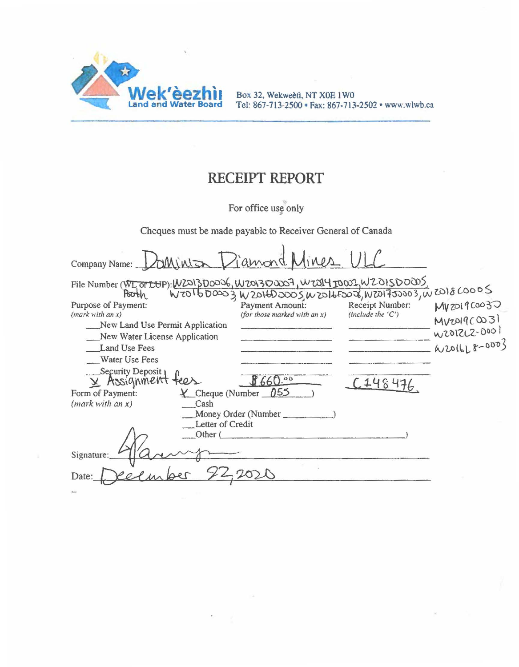

Box 32, Wekweetl, NT XOE 1WO Tel: 867-713-2500 • Fax: 867· 713-2502 • www.wlwb.ca

## **RECEIPT REPORT**

For office use only

Cheques must be made payable to Receiver General of Canada

| Minton<br>Company Name:                                                                                                                                      | Viamond<br>lines             |                     |               |
|--------------------------------------------------------------------------------------------------------------------------------------------------------------|------------------------------|---------------------|---------------|
| File Number (WI or LUP): W22130006, W201300007, W2014 TODOL, W201500005<br>$W$ TO 16 DOOD3 W 2016DOOD5 W ZO 16 FOOD6, W ZO 17 JOJO 3, W ZO 18 COODS<br>Pooth |                              |                     |               |
| Purpose of Payment:                                                                                                                                          | Payment Amount:              | Receipt Number:     | Myzol 9 COO30 |
| (maxk with an x)                                                                                                                                             | (for those marked with an x) | (include the $(C')$ | MVDI9C0031    |
| New Land Use Permit Application                                                                                                                              |                              |                     | W2012LZ-0001  |
| New Water License Application                                                                                                                                |                              |                     |               |
| Land Use Fees                                                                                                                                                |                              |                     | W2016L8-0003  |
| Water Use Fees                                                                                                                                               |                              |                     |               |
| __Security Deposit                                                                                                                                           |                              |                     |               |
| X Assignment tees                                                                                                                                            | 660.00                       |                     |               |
| $\angle$ Cheque (Number 055<br>Form of Payment:                                                                                                              |                              |                     |               |
| (maxk with an x)<br>Cash                                                                                                                                     |                              |                     |               |
| Money Order (Number                                                                                                                                          |                              |                     |               |
| Letter of Credit                                                                                                                                             |                              |                     |               |
| Other (                                                                                                                                                      |                              |                     |               |
|                                                                                                                                                              |                              |                     |               |
| Signature:                                                                                                                                                   |                              |                     |               |
|                                                                                                                                                              |                              |                     |               |
| Date:                                                                                                                                                        |                              |                     |               |
|                                                                                                                                                              |                              |                     |               |